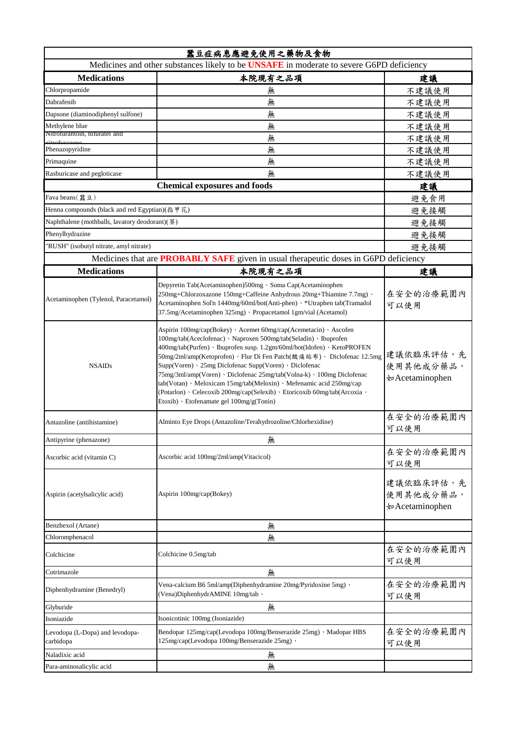| 蠶豆症病患應避免使用之藥物及食物<br>Medicines and other substances likely to be UNSAFE in moderate to severe G6PD deficiency |                                                                                                                                                                                                                                                                                                                                                                                                                                                                                                                                                                                                                          |                                            |  |
|--------------------------------------------------------------------------------------------------------------|--------------------------------------------------------------------------------------------------------------------------------------------------------------------------------------------------------------------------------------------------------------------------------------------------------------------------------------------------------------------------------------------------------------------------------------------------------------------------------------------------------------------------------------------------------------------------------------------------------------------------|--------------------------------------------|--|
| <b>Medications</b>                                                                                           |                                                                                                                                                                                                                                                                                                                                                                                                                                                                                                                                                                                                                          |                                            |  |
|                                                                                                              | 本院現有之品項                                                                                                                                                                                                                                                                                                                                                                                                                                                                                                                                                                                                                  | 建議                                         |  |
| Chlorpropamide<br>Dabrafenib                                                                                 | 無                                                                                                                                                                                                                                                                                                                                                                                                                                                                                                                                                                                                                        | 不建議使用                                      |  |
|                                                                                                              | 無                                                                                                                                                                                                                                                                                                                                                                                                                                                                                                                                                                                                                        | 不建議使用                                      |  |
| Dapsone (diaminodiphenyl sulfone)                                                                            | 無                                                                                                                                                                                                                                                                                                                                                                                                                                                                                                                                                                                                                        | 不建議使用                                      |  |
| Methylene blue<br>Nitrofurantoin, nifuratel and                                                              | 無                                                                                                                                                                                                                                                                                                                                                                                                                                                                                                                                                                                                                        | 不建議使用                                      |  |
|                                                                                                              | 無                                                                                                                                                                                                                                                                                                                                                                                                                                                                                                                                                                                                                        | 不建議使用                                      |  |
| Phenazopyridine                                                                                              | 無                                                                                                                                                                                                                                                                                                                                                                                                                                                                                                                                                                                                                        | 不建議使用                                      |  |
| Primaquine                                                                                                   | 無                                                                                                                                                                                                                                                                                                                                                                                                                                                                                                                                                                                                                        | 不建議使用                                      |  |
| Rasburicase and pegloticase                                                                                  | 無                                                                                                                                                                                                                                                                                                                                                                                                                                                                                                                                                                                                                        | 不建議使用                                      |  |
| <b>Chemical exposures and foods</b>                                                                          |                                                                                                                                                                                                                                                                                                                                                                                                                                                                                                                                                                                                                          | 建議                                         |  |
| Fava beans(蠶豆)                                                                                               |                                                                                                                                                                                                                                                                                                                                                                                                                                                                                                                                                                                                                          | 避免食用<br>避免接觸                               |  |
|                                                                                                              | Henna compounds (black and red Egyptian)(指甲花)                                                                                                                                                                                                                                                                                                                                                                                                                                                                                                                                                                            |                                            |  |
| Naphthalene (mothballs, lavatory deodorant)(萘)                                                               |                                                                                                                                                                                                                                                                                                                                                                                                                                                                                                                                                                                                                          | 避免接觸                                       |  |
| Phenylhydrazine                                                                                              |                                                                                                                                                                                                                                                                                                                                                                                                                                                                                                                                                                                                                          | 避免接觸                                       |  |
| "RUSH" (isobutyl nitrate, amyl nitrate)                                                                      |                                                                                                                                                                                                                                                                                                                                                                                                                                                                                                                                                                                                                          | 避免接觸                                       |  |
|                                                                                                              | Medicines that are <b>PROBABLY SAFE</b> given in usual therapeutic doses in G6PD deficiency                                                                                                                                                                                                                                                                                                                                                                                                                                                                                                                              |                                            |  |
| <b>Medications</b>                                                                                           | 本院現有之品項                                                                                                                                                                                                                                                                                                                                                                                                                                                                                                                                                                                                                  | 建議                                         |  |
| Acetaminophen (Tylenol, Paracetamol)                                                                         | Depyretin Tab(Acetaminophen)500mg · Soma Cap(Acetaminophen<br>250mg+Chlorzoxazone 150mg+Caffeine Anhydrous 20mg+Thiamine 7.7mg) \<br>Acetaminophen Sol'n 1440mg/60ml/bot(Anti-phen) · *Utraphen tab(Tramadol<br>37.5mg/Acetaminophen 325mg) · Propacetamol 1gm/vial (Acetamol)                                                                                                                                                                                                                                                                                                                                           | 在安全的治療範圍內<br>可以使用                          |  |
| <b>NSAIDs</b>                                                                                                | Aspirin 100mg/cap(Bokey) · Acemet 60mg/cap(Acemetacin) · Ascofen<br>100mg/tab(Aceclofenac) · Naproxen 500mg/tab(Seladin) · Ibuprofen<br>400mg/tab(Purfen) · Ibuprofen susp. 1.2gm/60ml/bot(Idofen) · KetoPROFEN<br>50mg/2ml/amp(Ketoprofen)、Flur Di Fen Patch(酸痛貼布)、Diclofenac 12.5mg<br>Supp(Voren) · 25mg Diclofenac Supp(Voren) · Diclofenac<br>75mg/3ml/amp(Voren) · Diclofenac 25mg/tab(Volna-k) · 100mg Diclofenac<br>tab(Votan) · Meloxicam 15mg/tab(Meloxin) · Mefenamic acid 250mg/cap<br>(Potarlon) · Celecoxib 200mg/cap(Selexib) · Etoricoxib 60mg/tab(Arcoxia ·<br>Etoxib) · Etofenamate gel 100mg/g(Tonin) | 建議依臨床評估,先<br>使用其他成分藥品,<br>†¤ Acetaminophen |  |
| Antazoline (antihistamine)                                                                                   | Alminto Eye Drops (Antazoline/Terahydrozoline/Chlorhexidine)                                                                                                                                                                                                                                                                                                                                                                                                                                                                                                                                                             | 在安全的治療範圍內<br>可以使用                          |  |
| Antipyrine (phenazone)                                                                                       | 無                                                                                                                                                                                                                                                                                                                                                                                                                                                                                                                                                                                                                        |                                            |  |
| Ascorbic acid (vitamin C)                                                                                    | Ascorbic acid 100mg/2ml/amp(Vitacicol)                                                                                                                                                                                                                                                                                                                                                                                                                                                                                                                                                                                   | 在安全的治療範圍內<br>可以使用                          |  |
| Aspirin (acetylsalicylic acid)                                                                               | Aspirin 100mg/cap(Bokey)                                                                                                                                                                                                                                                                                                                                                                                                                                                                                                                                                                                                 | 建議依臨床評估,先<br>使用其他成分藥品,<br>†¤ Acetaminophen |  |
| Benzhexol (Artane)                                                                                           | 無                                                                                                                                                                                                                                                                                                                                                                                                                                                                                                                                                                                                                        |                                            |  |
| Chloromphenacol                                                                                              | 無                                                                                                                                                                                                                                                                                                                                                                                                                                                                                                                                                                                                                        |                                            |  |
| Colchicine                                                                                                   | Colchicine 0.5mg/tab                                                                                                                                                                                                                                                                                                                                                                                                                                                                                                                                                                                                     | 在安全的治療範圍內<br>可以使用                          |  |
| Cotrimazole                                                                                                  | 無                                                                                                                                                                                                                                                                                                                                                                                                                                                                                                                                                                                                                        |                                            |  |
| Diphenhydramine (Benedryl)                                                                                   | Vena-calcium B6 5ml/amp(Diphenhydramine 20mg/Pyridoxine 5mg) \<br>(Vena)DiphenhydrAMINE 10mg/tab、                                                                                                                                                                                                                                                                                                                                                                                                                                                                                                                        | 在安全的治療範圍內<br>可以使用                          |  |
| Glyburide                                                                                                    | 無                                                                                                                                                                                                                                                                                                                                                                                                                                                                                                                                                                                                                        |                                            |  |
| Isoniazide                                                                                                   | Isonicotinic 100mg (Isoniazide)                                                                                                                                                                                                                                                                                                                                                                                                                                                                                                                                                                                          |                                            |  |
| Levodopa (L-Dopa) and levodopa-<br>carbidopa                                                                 | Bendopar 125mg/cap(Levodopa 100mg/Benserazide 25mg) · Madopar HBS<br>125mg/cap(Levodopa 100mg/Benserazide 25mg) \                                                                                                                                                                                                                                                                                                                                                                                                                                                                                                        | 在安全的治療範圍內<br>可以使用                          |  |
| Naladixic acid                                                                                               | 無                                                                                                                                                                                                                                                                                                                                                                                                                                                                                                                                                                                                                        |                                            |  |
| Para-aminosalicylic acid                                                                                     | 無                                                                                                                                                                                                                                                                                                                                                                                                                                                                                                                                                                                                                        |                                            |  |